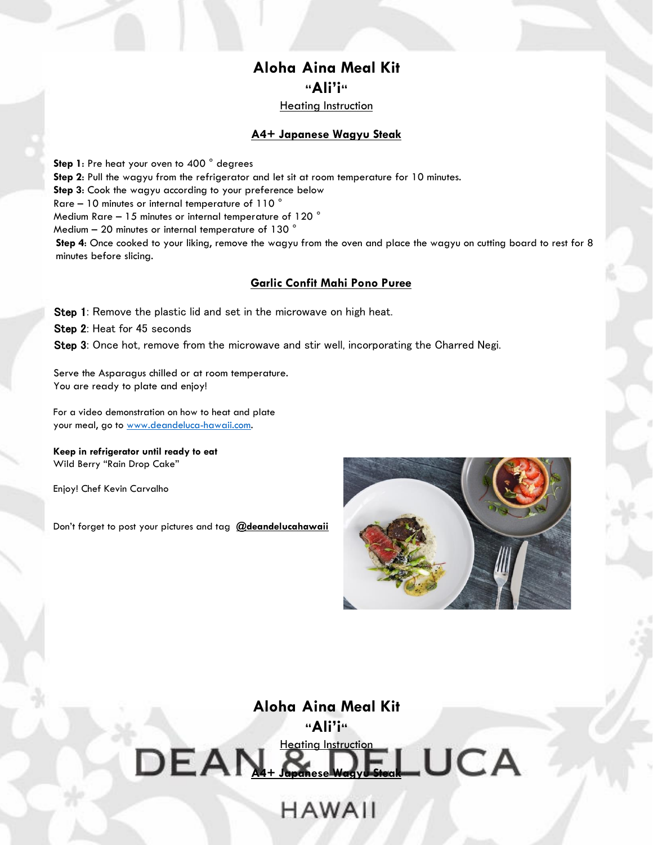## **Aloha Aina Meal Kit "Ali'i"**

Heating Instruction

### **A4+ Japanese Wagyu Steak**

**Step 1**: Pre heat your oven to 400 ° degrees **Step 2**: Pull the wagyu from the refrigerator and let sit at room temperature for 10 minutes. **Step 3**: Cook the wagyu according to your preference below Rare – 10 minutes or internal temperature of 110 ° Medium Rare – 15 minutes or internal temperature of 120 ° Medium – 20 minutes or internal temperature of 130 ° **Step 4**: Once cooked to your liking, remove the wagyu from the oven and place the wagyu on cutting board to rest for 8 minutes before slicing.

### **Garlic Confit Mahi Pono Puree**

Step 1: Remove the plastic lid and set in the microwave on high heat.

Step 2: Heat for 45 seconds

Step 3: Once hot, remove from the microwave and stir well, incorporating the Charred Negi.

Serve the Asparagus chilled or at room temperature. You are ready to plate and enjoy!

For a video demonstration on how to heat and plate your meal, go to [www.deandeluca-hawaii.com.](http://www.deandeluca-hawaii.com/)

**Keep in refrigerator until ready to eat** Wild Berry "Rain Drop Cake"

Enjoy! Chef Kevin Carvalho

Don't forget to post your pictures and tag **@deandelucahawaii**



# **Aloha Aina Meal Kit "Ali'i"** Heating Instruction<br>Japanese Waavu Steal LUCA  $DEAN+3$

**HAWAII**